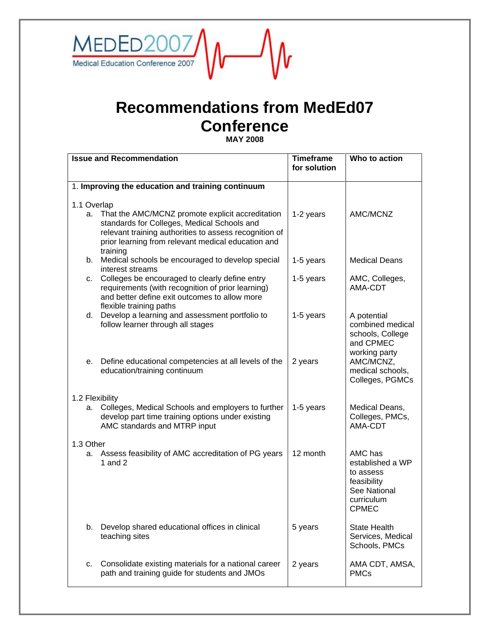

## **Recommendations from MedEd07 Conference**

**MAY 2008** 

| <b>Issue and Recommendation</b> |                                                                                                                                                                                                                             | <b>Timeframe</b><br>for solution | Who to action                                                                                         |
|---------------------------------|-----------------------------------------------------------------------------------------------------------------------------------------------------------------------------------------------------------------------------|----------------------------------|-------------------------------------------------------------------------------------------------------|
|                                 | 1. Improving the education and training continuum                                                                                                                                                                           |                                  |                                                                                                       |
|                                 |                                                                                                                                                                                                                             |                                  |                                                                                                       |
| 1.1 Overlap<br>a.               | That the AMC/MCNZ promote explicit accreditation<br>standards for Colleges, Medical Schools and<br>relevant training authorities to assess recognition of<br>prior learning from relevant medical education and<br>training | 1-2 years                        | AMC/MCNZ                                                                                              |
|                                 | b. Medical schools be encouraged to develop special<br>interest streams                                                                                                                                                     | 1-5 years                        | <b>Medical Deans</b>                                                                                  |
|                                 | c. Colleges be encouraged to clearly define entry<br>requirements (with recognition of prior learning)<br>and better define exit outcomes to allow more<br>flexible training paths                                          | 1-5 years                        | AMC, Colleges,<br>AMA-CDT                                                                             |
|                                 | d. Develop a learning and assessment portfolio to<br>follow learner through all stages                                                                                                                                      | 1-5 years                        | A potential<br>combined medical<br>schools, College<br>and CPMEC<br>working party                     |
|                                 | e. Define educational competencies at all levels of the<br>education/training continuum                                                                                                                                     | 2 years                          | AMC/MCNZ,<br>medical schools,<br>Colleges, PGMCs                                                      |
| 1.2 Flexibility                 |                                                                                                                                                                                                                             |                                  |                                                                                                       |
| а.                              | Colleges, Medical Schools and employers to further<br>develop part time training options under existing<br>AMC standards and MTRP input                                                                                     | 1-5 years                        | Medical Deans,<br>Colleges, PMCs,<br>AMA-CDT                                                          |
| 1.3 Other                       |                                                                                                                                                                                                                             |                                  |                                                                                                       |
|                                 | a. Assess feasibility of AMC accreditation of PG years<br>1 and $2$                                                                                                                                                         | 12 month                         | AMC has<br>established a WP<br>to assess<br>feasibility<br>See National<br>curriculum<br><b>CPMEC</b> |
| b.                              | Develop shared educational offices in clinical<br>teaching sites                                                                                                                                                            | 5 years                          | <b>State Health</b><br>Services, Medical<br>Schools, PMCs                                             |
| c.                              | Consolidate existing materials for a national career<br>path and training guide for students and JMOs                                                                                                                       | 2 years                          | AMA CDT, AMSA,<br><b>PMCs</b>                                                                         |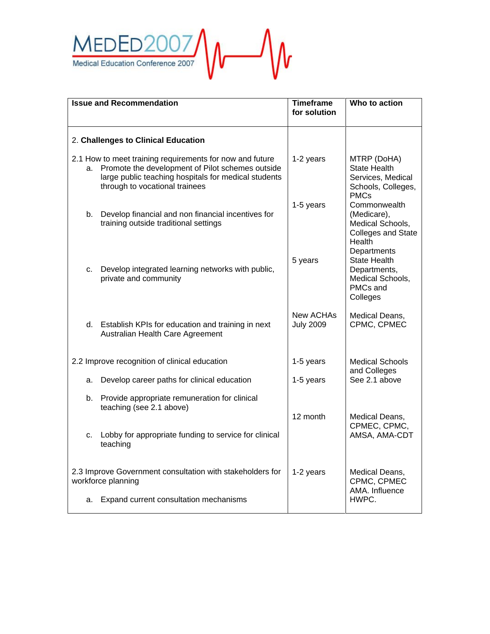

| <b>Issue and Recommendation</b>                                                 |                                                                                                                                                                                                        | <b>Timeframe</b><br>for solution | Who to action                                                                                  |
|---------------------------------------------------------------------------------|--------------------------------------------------------------------------------------------------------------------------------------------------------------------------------------------------------|----------------------------------|------------------------------------------------------------------------------------------------|
|                                                                                 |                                                                                                                                                                                                        |                                  |                                                                                                |
| 2. Challenges to Clinical Education                                             |                                                                                                                                                                                                        |                                  |                                                                                                |
| а.                                                                              | 2.1 How to meet training requirements for now and future<br>Promote the development of Pilot schemes outside<br>large public teaching hospitals for medical students<br>through to vocational trainees | 1-2 years                        | MTRP (DoHA)<br><b>State Health</b><br>Services, Medical<br>Schools, Colleges,<br><b>PMCs</b>   |
|                                                                                 | b. Develop financial and non financial incentives for<br>training outside traditional settings                                                                                                         | 1-5 years                        | Commonwealth<br>(Medicare),<br>Medical Schools,<br><b>Colleges and State</b><br>Health         |
|                                                                                 | c. Develop integrated learning networks with public,<br>private and community                                                                                                                          | 5 years                          | Departments<br><b>State Health</b><br>Departments,<br>Medical Schools,<br>PMCs and<br>Colleges |
|                                                                                 | d. Establish KPIs for education and training in next<br>Australian Health Care Agreement                                                                                                               | New ACHAs<br><b>July 2009</b>    | Medical Deans,<br>CPMC, CPMEC                                                                  |
| 2.2 Improve recognition of clinical education                                   |                                                                                                                                                                                                        | 1-5 years                        | <b>Medical Schools</b><br>and Colleges                                                         |
|                                                                                 | a. Develop career paths for clinical education                                                                                                                                                         | 1-5 years                        | See 2.1 above                                                                                  |
|                                                                                 | b. Provide appropriate remuneration for clinical<br>teaching (see 2.1 above)                                                                                                                           | 12 month                         | Medical Deans,                                                                                 |
| C.                                                                              | Lobby for appropriate funding to service for clinical<br>teaching                                                                                                                                      |                                  | CPMEC, CPMC,<br>AMSA, AMA-CDT                                                                  |
| 2.3 Improve Government consultation with stakeholders for<br>workforce planning |                                                                                                                                                                                                        | 1-2 years                        | Medical Deans,<br>CPMC, CPMEC<br>AMA. Influence                                                |
|                                                                                 | a. Expand current consultation mechanisms                                                                                                                                                              |                                  | HWPC.                                                                                          |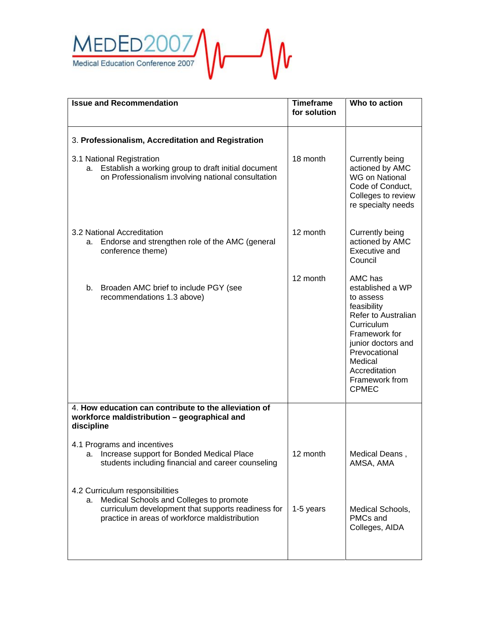

| <b>Issue and Recommendation</b>                                                                                                                                                          | <b>Timeframe</b><br>for solution | Who to action                                                                                                                                                                                                      |
|------------------------------------------------------------------------------------------------------------------------------------------------------------------------------------------|----------------------------------|--------------------------------------------------------------------------------------------------------------------------------------------------------------------------------------------------------------------|
| 3. Professionalism, Accreditation and Registration                                                                                                                                       |                                  |                                                                                                                                                                                                                    |
| 3.1 National Registration<br>a. Establish a working group to draft initial document<br>on Professionalism involving national consultation                                                | 18 month                         | Currently being<br>actioned by AMC<br><b>WG on National</b><br>Code of Conduct,<br>Colleges to review<br>re specialty needs                                                                                        |
| 3.2 National Accreditation<br>Endorse and strengthen role of the AMC (general<br>а.<br>conference theme)                                                                                 | 12 month                         | Currently being<br>actioned by AMC<br>Executive and<br>Council                                                                                                                                                     |
| b. Broaden AMC brief to include PGY (see<br>recommendations 1.3 above)                                                                                                                   | 12 month                         | AMC has<br>established a WP<br>to assess<br>feasibility<br>Refer to Australian<br>Curriculum<br>Framework for<br>junior doctors and<br>Prevocational<br>Medical<br>Accreditation<br>Framework from<br><b>CPMEC</b> |
| 4. How education can contribute to the alleviation of<br>workforce maldistribution - geographical and<br>discipline                                                                      |                                  |                                                                                                                                                                                                                    |
| 4.1 Programs and incentives<br>a. Increase support for Bonded Medical Place<br>students including financial and career counseling                                                        | 12 month                         | Medical Deans<br>AMSA, AMA                                                                                                                                                                                         |
| 4.2 Curriculum responsibilities<br>Medical Schools and Colleges to promote<br>а.<br>curriculum development that supports readiness for<br>practice in areas of workforce maldistribution | 1-5 years                        | Medical Schools,<br>PMCs and<br>Colleges, AIDA                                                                                                                                                                     |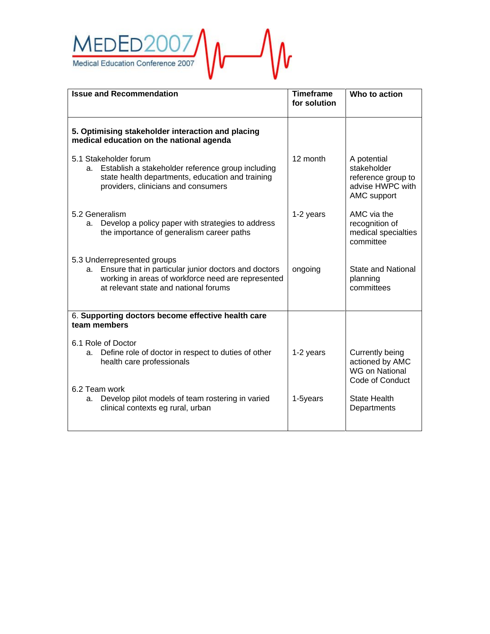

| <b>Timeframe</b><br>for solution | Who to action                                                                       |
|----------------------------------|-------------------------------------------------------------------------------------|
|                                  |                                                                                     |
| 12 month                         | A potential<br>stakeholder<br>reference group to<br>advise HWPC with<br>AMC support |
| 1-2 years                        | AMC via the<br>recognition of<br>medical specialties<br>committee                   |
| ongoing                          | <b>State and National</b><br>planning<br>committees                                 |
|                                  |                                                                                     |
| 1-2 years                        | Currently being<br>actioned by AMC<br><b>WG on National</b><br>Code of Conduct      |
| 1-5years                         | <b>State Health</b><br>Departments                                                  |
|                                  |                                                                                     |